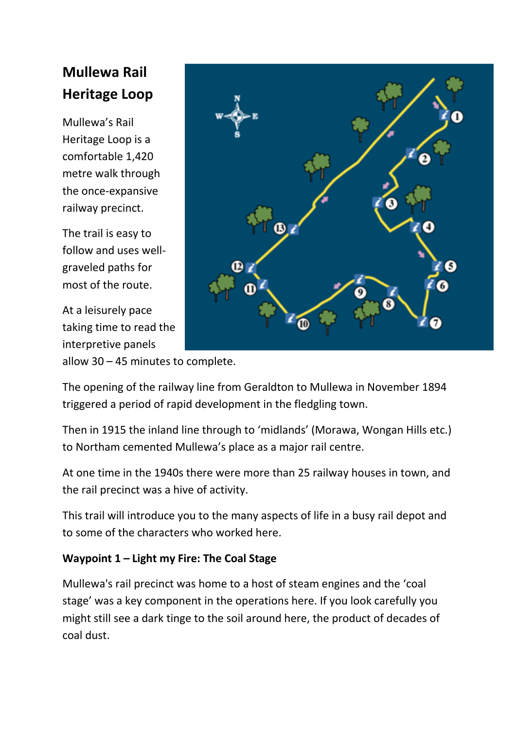# **Mullewa Rail Heritage Loop**

Mullewa's Rail Heritage Loop is a comfortable 1,420 metre walk through the once-expansive railway precinct.

The trail is easy to follow and uses wellgraveled paths for most of the route.

At a leisurely pace taking time to read the interpretive panels



allow 30 – 45 minutes to complete.

The opening of the railway line from Geraldton to Mullewa in November 1894 triggered a period of rapid development in the fledgling town.

Then in 1915 the inland line through to 'midlands' (Morawa, Wongan Hills etc.) to Northam cemented Mullewa's place as a major rail centre.

At one time in the 1940s there were more than 25 railway houses in town, and the rail precinct was a hive of activity.

This trail will introduce you to the many aspects of life in a busy rail depot and to some of the characters who worked here.

# **Waypoint 1 – Light my Fire: The Coal Stage**

Mullewa's rail precinct was home to a host of steam engines and the 'coal stage' was a key component in the operations here. If you look carefully you might still see a dark tinge to the soil around here, the product of decades of coal dust.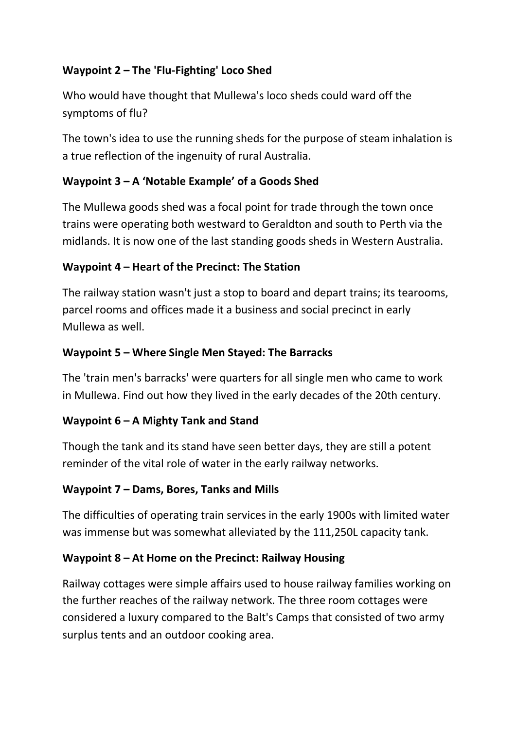# **Waypoint 2 – The 'Flu-Fighting' Loco Shed**

Who would have thought that Mullewa's loco sheds could ward off the symptoms of flu?

The town's idea to use the running sheds for the purpose of steam inhalation is a true reflection of the ingenuity of rural Australia.

## **Waypoint 3 – A 'Notable Example' of a Goods Shed**

The Mullewa goods shed was a focal point for trade through the town once trains were operating both westward to Geraldton and south to Perth via the midlands. It is now one of the last standing goods sheds in Western Australia.

## **Waypoint 4 – Heart of the Precinct: The Station**

The railway station wasn't just a stop to board and depart trains; its tearooms, parcel rooms and offices made it a business and social precinct in early Mullewa as well.

## **Waypoint 5 – Where Single Men Stayed: The Barracks**

The 'train men's barracks' were quarters for all single men who came to work in Mullewa. Find out how they lived in the early decades of the 20th century.

#### **Waypoint 6 – A Mighty Tank and Stand**

Though the tank and its stand have seen better days, they are still a potent reminder of the vital role of water in the early railway networks.

#### **Waypoint 7 – Dams, Bores, Tanks and Mills**

The difficulties of operating train services in the early 1900s with limited water was immense but was somewhat alleviated by the 111,250L capacity tank.

#### **Waypoint 8 – At Home on the Precinct: Railway Housing**

Railway cottages were simple affairs used to house railway families working on the further reaches of the railway network. The three room cottages were considered a luxury compared to the Balt's Camps that consisted of two army surplus tents and an outdoor cooking area.